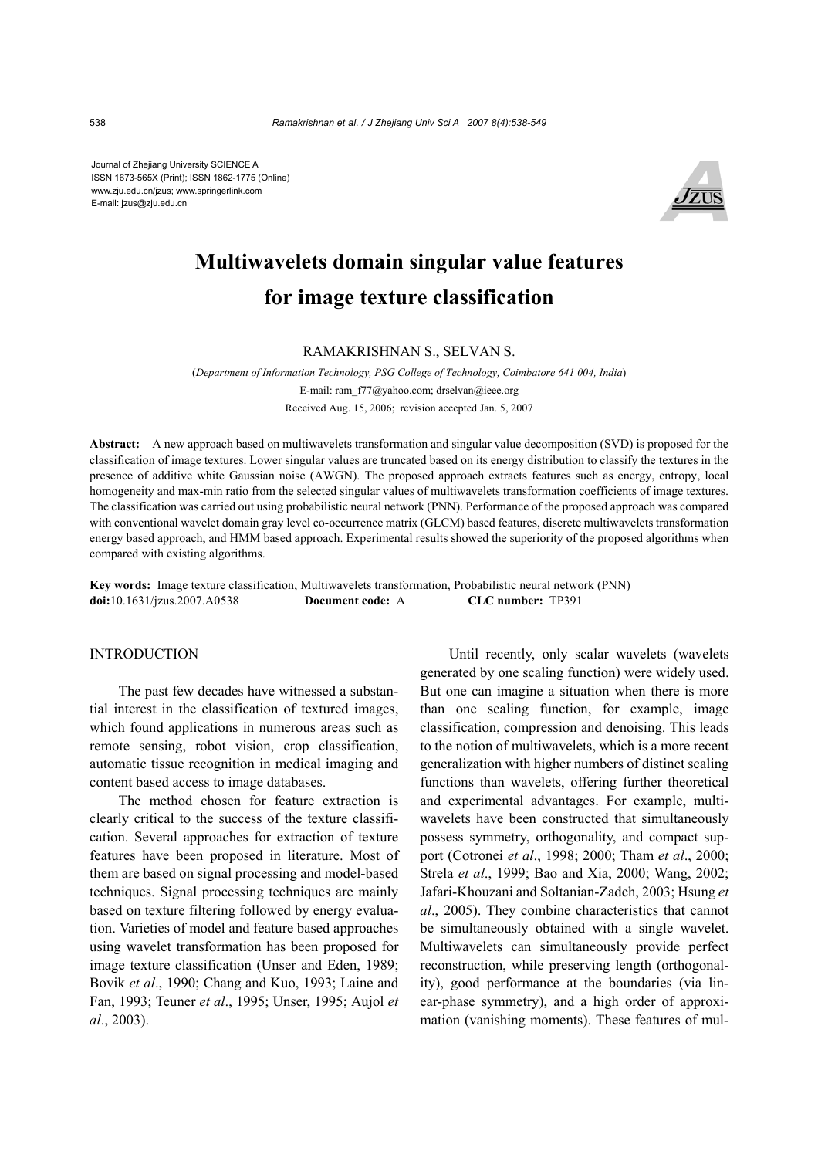Journal of Zhejiang University SCIENCE A ISSN 1673-565X (Print); ISSN 1862-1775 (Online) www.zju.edu.cn/jzus; www.springerlink.com E-mail: jzus@zju.edu.cn



# **Multiwavelets domain singular value features for image texture classification**

# RAMAKRISHNAN S., SELVAN S.

(*Department of Information Technology, PSG College of Technology, Coimbatore 641 004, India*) E-mail: ram\_f77@yahoo.com; drselvan@ieee.org Received Aug. 15, 2006; revision accepted Jan. 5, 2007

**Abstract:** A new approach based on multiwavelets transformation and singular value decomposition (SVD) is proposed for the classification of image textures. Lower singular values are truncated based on its energy distribution to classify the textures in the presence of additive white Gaussian noise (AWGN). The proposed approach extracts features such as energy, entropy, local homogeneity and max-min ratio from the selected singular values of multiwavelets transformation coefficients of image textures. The classification was carried out using probabilistic neural network (PNN). Performance of the proposed approach was compared with conventional wavelet domain gray level co-occurrence matrix (GLCM) based features, discrete multiwavelets transformation energy based approach, and HMM based approach. Experimental results showed the superiority of the proposed algorithms when compared with existing algorithms.

**Key words:** Image texture classification, Multiwavelets transformation, Probabilistic neural network (PNN) **doi:**10.1631/jzus.2007.A0538 **Document code:** A **CLC number:** TP391

# **INTRODUCTION**

The past few decades have witnessed a substantial interest in the classification of textured images, which found applications in numerous areas such as remote sensing, robot vision, crop classification, automatic tissue recognition in medical imaging and content based access to image databases.

The method chosen for feature extraction is clearly critical to the success of the texture classification. Several approaches for extraction of texture features have been proposed in literature. Most of them are based on signal processing and model-based techniques. Signal processing techniques are mainly based on texture filtering followed by energy evaluation. Varieties of model and feature based approaches using wavelet transformation has been proposed for image texture classification (Unser and Eden, 1989; Bovik *et al*., 1990; Chang and Kuo, 1993; Laine and Fan, 1993; Teuner *et al*., 1995; Unser, 1995; Aujol *et al*., 2003).

Until recently, only scalar wavelets (wavelets generated by one scaling function) were widely used. But one can imagine a situation when there is more than one scaling function, for example, image classification, compression and denoising. This leads to the notion of multiwavelets, which is a more recent generalization with higher numbers of distinct scaling functions than wavelets, offering further theoretical and experimental advantages. For example, multiwavelets have been constructed that simultaneously possess symmetry, orthogonality, and compact support (Cotronei *et al*., 1998; 2000; Tham *et al*., 2000; Strela *et al*., 1999; Bao and Xia, 2000; Wang, 2002; Jafari-Khouzani and Soltanian-Zadeh, 2003; Hsung *et al*., 2005). They combine characteristics that cannot be simultaneously obtained with a single wavelet. Multiwavelets can simultaneously provide perfect reconstruction, while preserving length (orthogonality), good performance at the boundaries (via linear-phase symmetry), and a high order of approximation (vanishing moments). These features of mul-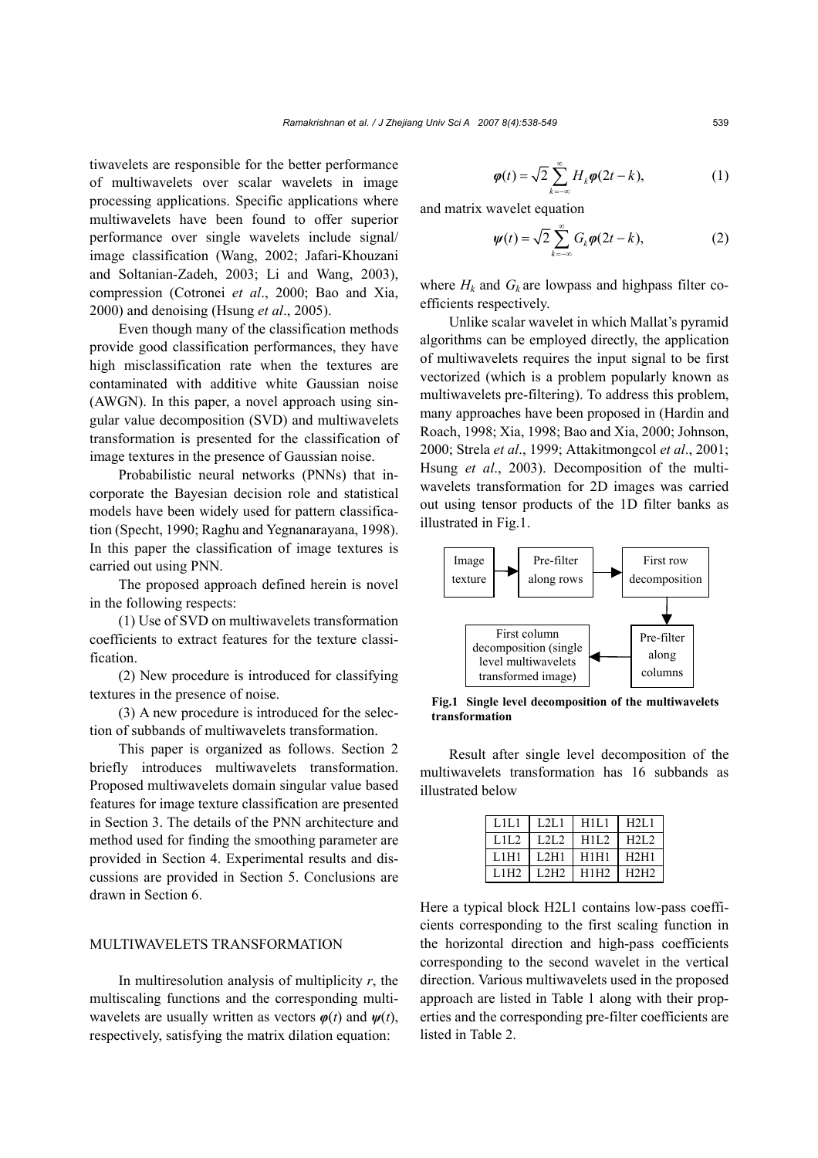tiwavelets are responsible for the better performance of multiwavelets over scalar wavelets in image processing applications. Specific applications where multiwavelets have been found to offer superior performance over single wavelets include signal/ image classification (Wang, 2002; Jafari-Khouzani and Soltanian-Zadeh, 2003; Li and Wang, 2003), compression (Cotronei *et al*., 2000; Bao and Xia, 2000) and denoising (Hsung *et al*., 2005).

Even though many of the classification methods provide good classification performances, they have high misclassification rate when the textures are contaminated with additive white Gaussian noise (AWGN). In this paper, a novel approach using singular value decomposition (SVD) and multiwavelets transformation is presented for the classification of image textures in the presence of Gaussian noise.

Probabilistic neural networks (PNNs) that incorporate the Bayesian decision role and statistical models have been widely used for pattern classification (Specht, 1990; Raghu and Yegnanarayana, 1998). In this paper the classification of image textures is carried out using PNN.

The proposed approach defined herein is novel in the following respects:

(1) Use of SVD on multiwavelets transformation coefficients to extract features for the texture classification.

(2) New procedure is introduced for classifying textures in the presence of noise.

(3) A new procedure is introduced for the selection of subbands of multiwavelets transformation.

This paper is organized as follows. Section 2 briefly introduces multiwavelets transformation. Proposed multiwavelets domain singular value based features for image texture classification are presented in Section 3. The details of the PNN architecture and method used for finding the smoothing parameter are provided in Section 4. Experimental results and discussions are provided in Section 5. Conclusions are drawn in Section 6.

## MULTIWAVELETS TRANSFORMATION

In multiresolution analysis of multiplicity *r*, the multiscaling functions and the corresponding multiwavelets are usually written as vectors *φ*(*t*) and *ψ*(*t*), respectively, satisfying the matrix dilation equation:

$$
\varphi(t) = \sqrt{2} \sum_{k=-\infty}^{\infty} H_k \varphi(2t - k), \tag{1}
$$

and matrix wavelet equation

$$
\psi(t) = \sqrt{2} \sum_{k=-\infty}^{\infty} G_k \varphi(2t - k), \tag{2}
$$

where  $H_k$  and  $G_k$  are lowpass and highpass filter coefficients respectively.

Unlike scalar wavelet in which Mallat's pyramid algorithms can be employed directly, the application of multiwavelets requires the input signal to be first vectorized (which is a problem popularly known as multiwavelets pre-filtering). To address this problem, many approaches have been proposed in (Hardin and Roach, 1998; Xia, 1998; Bao and Xia, 2000; Johnson, 2000; Strela *et al*., 1999; Attakitmongcol *et al*., 2001; Hsung *et al*., 2003). Decomposition of the multiwavelets transformation for 2D images was carried out using tensor products of the 1D filter banks as illustrated in Fig.1.



**Fig.1 Single level decomposition of the multiwavelets transformation**

Result after single level decomposition of the multiwavelets transformation has 16 subbands as illustrated below

| LHL1        | L2L1   | H1L1 | H2L1 |
|-------------|--------|------|------|
| 1.11.2      | 1.21.2 | H1L2 | H2L2 |
| L1H1        | L2H1   | H1H1 | H2H1 |
| <b>L1H2</b> | L2H2   | H1H2 | H2H2 |

Here a typical block H2L1 contains low-pass coefficients corresponding to the first scaling function in the horizontal direction and high-pass coefficients corresponding to the second wavelet in the vertical direction. Various multiwavelets used in the proposed approach are listed in Table 1 along with their properties and the corresponding pre-filter coefficients are listed in Table 2.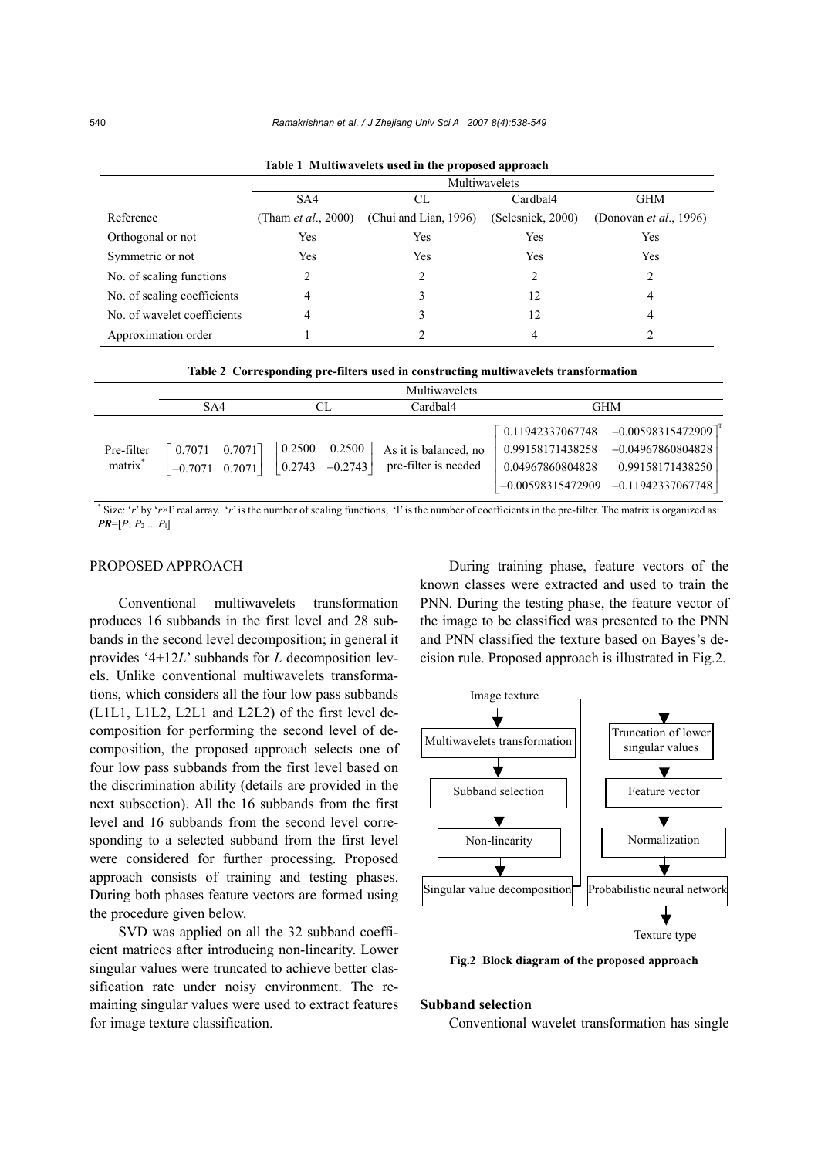|                             | Multiwavelets               |                       |                   |                                |  |  |
|-----------------------------|-----------------------------|-----------------------|-------------------|--------------------------------|--|--|
|                             | SA4                         | СL                    | Cardbal4          | <b>GHM</b>                     |  |  |
| Reference                   | (Tham <i>et al.</i> , 2000) | (Chui and Lian, 1996) | (Selesnick, 2000) | (Donovan <i>et al.</i> , 1996) |  |  |
| Orthogonal or not           | Yes                         | Yes                   | Yes               | Yes                            |  |  |
| Symmetric or not            | Yes                         | Yes                   | Yes               | Yes                            |  |  |
| No. of scaling functions    | 2                           | $\mathfrak{D}$        | $\mathfrak{D}$    | C.                             |  |  |
| No. of scaling coefficients |                             |                       | 12                | 4                              |  |  |
| No. of wavelet coefficients |                             |                       | 12                | 4                              |  |  |
| Approximation order         |                             |                       | 4                 |                                |  |  |

**Table 1 Multiwavelets used in the proposed approach**

| Table 2 Corresponding pre-filters used in constructing multiwavelets transformation |  |  |
|-------------------------------------------------------------------------------------|--|--|
|                                                                                     |  |  |

|                                   |                                     |                                                                                                     | Multiwavelets                                 |                                                          |                                                                                                                        |  |
|-----------------------------------|-------------------------------------|-----------------------------------------------------------------------------------------------------|-----------------------------------------------|----------------------------------------------------------|------------------------------------------------------------------------------------------------------------------------|--|
|                                   | SA4                                 | CL                                                                                                  | Cardbal4                                      |                                                          | <b>GHM</b>                                                                                                             |  |
| Pre-filter<br>matrix <sup>*</sup> | $0.7071$ 0.7071<br>$-0.7071$ 0.7071 | $\begin{bmatrix} 0.2500 & 0.2500 \end{bmatrix}$<br>$\begin{vmatrix} 0.2743 & -0.2743 \end{vmatrix}$ | As it is balanced, no<br>pre-filter is needed | 0.11942337067748<br>0.99158171438258<br>0.04967860804828 | $-0.00598315472909$ <sup>T</sup><br>$-0.04967860804828$<br>0.99158171438250<br>$-0.00598315472909$ $-0.11942337067748$ |  |

\* Size: '*r*' by '*r*×l' real array. '*r*' is the number of scaling functions, 'l' is the number of coefficients in the pre-filter. The matrix is organized as:  $PR=[P_1 P_2 ... P_l]$ 

# PROPOSED APPROACH

Conventional multiwavelets transformation produces 16 subbands in the first level and 28 subbands in the second level decomposition; in general it provides '4+12*L*' subbands for *L* decomposition levels. Unlike conventional multiwavelets transformations, which considers all the four low pass subbands (L1L1, L1L2, L2L1 and L2L2) of the first level decomposition for performing the second level of decomposition, the proposed approach selects one of four low pass subbands from the first level based on the discrimination ability (details are provided in the next subsection). All the 16 subbands from the first level and 16 subbands from the second level corresponding to a selected subband from the first level were considered for further processing. Proposed approach consists of training and testing phases. During both phases feature vectors are formed using the procedure given below.

SVD was applied on all the 32 subband coefficient matrices after introducing non-linearity. Lower singular values were truncated to achieve better classification rate under noisy environment. The remaining singular values were used to extract features for image texture classification.

During training phase, feature vectors of the known classes were extracted and used to train the PNN. During the testing phase, the feature vector of the image to be classified was presented to the PNN and PNN classified the texture based on Bayes's decision rule. Proposed approach is illustrated in Fig.2.



**Fig.2 Block diagram of the proposed approach** 

#### **Subband selection**

Conventional wavelet transformation has single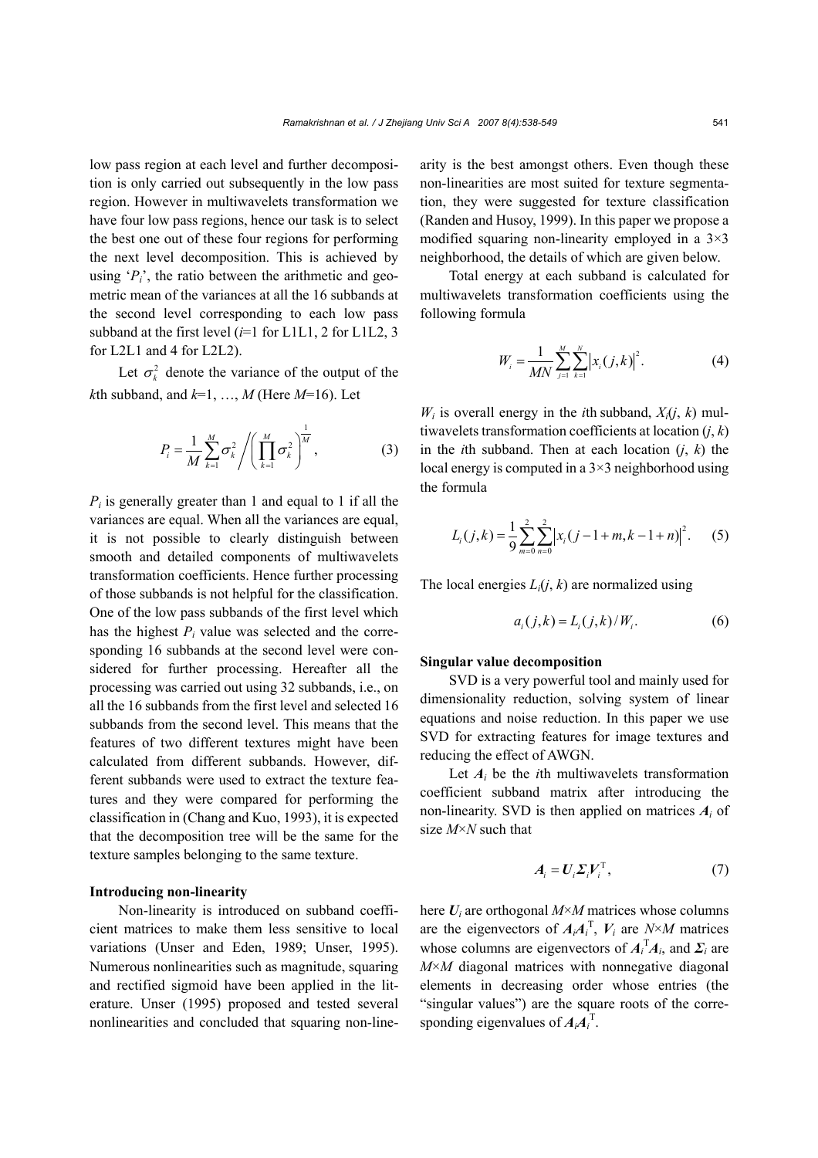low pass region at each level and further decomposition is only carried out subsequently in the low pass region. However in multiwavelets transformation we have four low pass regions, hence our task is to select the best one out of these four regions for performing the next level decomposition. This is achieved by using  $P_i$ <sup>'</sup>, the ratio between the arithmetic and geometric mean of the variances at all the 16 subbands at the second level corresponding to each low pass subband at the first level (*i*=1 for L1L1, 2 for L1L2, 3 for L2L1 and 4 for L2L2).

Let  $\sigma_k^2$  denote the variance of the output of the *k*th subband, and  $k=1, ..., M$  (Here  $M=16$ ). Let

$$
P_{i} = \frac{1}{M} \sum_{k=1}^{M} \sigma_{k}^{2} / \left( \prod_{k=1}^{M} \sigma_{k}^{2} \right)^{\frac{1}{M}},
$$
 (3)

 $P_i$  is generally greater than 1 and equal to 1 if all the variances are equal. When all the variances are equal, it is not possible to clearly distinguish between smooth and detailed components of multiwavelets transformation coefficients. Hence further processing of those subbands is not helpful for the classification. One of the low pass subbands of the first level which has the highest  $P_i$  value was selected and the corresponding 16 subbands at the second level were considered for further processing. Hereafter all the processing was carried out using 32 subbands, i.e., on all the 16 subbands from the first level and selected 16 subbands from the second level. This means that the features of two different textures might have been calculated from different subbands. However, different subbands were used to extract the texture features and they were compared for performing the classification in (Chang and Kuo, 1993), it is expected that the decomposition tree will be the same for the texture samples belonging to the same texture.

#### **Introducing non-linearity**

Non-linearity is introduced on subband coefficient matrices to make them less sensitive to local variations (Unser and Eden, 1989; Unser, 1995). Numerous nonlinearities such as magnitude, squaring and rectified sigmoid have been applied in the literature. Unser (1995) proposed and tested several nonlinearities and concluded that squaring non-linearity is the best amongst others. Even though these non-linearities are most suited for texture segmentation, they were suggested for texture classification (Randen and Husoy, 1999). In this paper we propose a modified squaring non-linearity employed in a  $3\times3$ neighborhood, the details of which are given below.

Total energy at each subband is calculated for multiwavelets transformation coefficients using the following formula

$$
W_i = \frac{1}{MN} \sum_{j=1}^{M} \sum_{k=1}^{N} \left| x_i(j,k) \right|^2.
$$
 (4)

 $W_i$  is overall energy in the *i*th subband,  $X_i(j, k)$  multiwavelets transformation coefficients at location (*j*, *k*) in the *i*th subband. Then at each location  $(j, k)$  the local energy is computed in a 3×3 neighborhood using the formula

$$
L_i(j,k) = \frac{1}{9} \sum_{m=0}^{2} \sum_{n=0}^{2} |x_i(j-1+m, k-1+n)|^2.
$$
 (5)

The local energies  $L_i(j, k)$  are normalized using

$$
a_i(j,k) = L_i(j,k)/W_i.
$$
 (6)

#### **Singular value decomposition**

SVD is a very powerful tool and mainly used for dimensionality reduction, solving system of linear equations and noise reduction. In this paper we use SVD for extracting features for image textures and reducing the effect of AWGN.

Let  $A_i$  be the *i*th multiwavelets transformation coefficient subband matrix after introducing the non-linearity. SVD is then applied on matrices  $A_i$  of size *M*×*N* such that

$$
A_i = U_i \Sigma_i V_i^{\mathrm{T}}, \tag{7}
$$

here *Ui* are orthogonal *M*×*M* matrices whose columns are the eigenvectors of  $A_iA_i^T$ ,  $V_i$  are  $N \times M$  matrices whose columns are eigenvectors of  $A_i^T A_i$ , and  $\Sigma_i$  are *M*×*M* diagonal matrices with nonnegative diagonal elements in decreasing order whose entries (the "singular values") are the square roots of the corresponding eigenvalues of  $A_iA_i^T$ .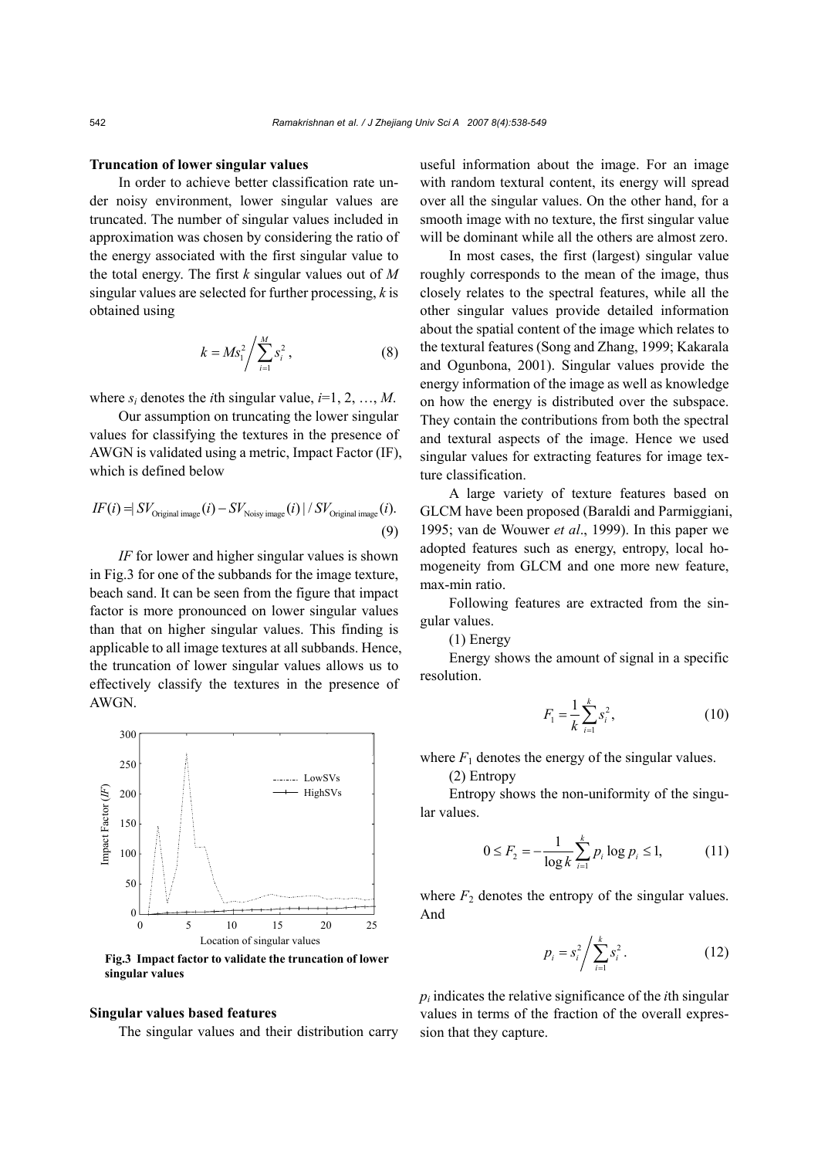#### **Truncation of lower singular values**

In order to achieve better classification rate under noisy environment, lower singular values are truncated. The number of singular values included in approximation was chosen by considering the ratio of the energy associated with the first singular value to the total energy. The first *k* singular values out of *M* singular values are selected for further processing, *k* is obtained using

$$
k = M s_1^2 / \sum_{i=1}^{M} s_i^2, \qquad (8)
$$

where  $s_i$  denotes the *i*th singular value,  $i=1, 2, ..., M$ .

Our assumption on truncating the lower singular values for classifying the textures in the presence of AWGN is validated using a metric, Impact Factor (IF), which is defined below

$$
IF(i) = \frac{SV_{\text{Original image}}(i) - SV_{\text{Noisy image}}(i) \mid /SV_{\text{Original image}}(i)}{9}
$$

*IF* for lower and higher singular values is shown in Fig.3 for one of the subbands for the image texture, beach sand. It can be seen from the figure that impact factor is more pronounced on lower singular values than that on higher singular values. This finding is applicable to all image textures at all subbands. Hence, the truncation of lower singular values allows us to effectively classify the textures in the presence of AWGN.



**Fig.3 Impact factor to validate the truncation of lower singular values**

#### **Singular values based features**

The singular values and their distribution carry

useful information about the image. For an image with random textural content, its energy will spread over all the singular values. On the other hand, for a smooth image with no texture, the first singular value will be dominant while all the others are almost zero.

In most cases, the first (largest) singular value roughly corresponds to the mean of the image, thus closely relates to the spectral features, while all the other singular values provide detailed information about the spatial content of the image which relates to the textural features (Song and Zhang, 1999; Kakarala and Ogunbona, 2001). Singular values provide the energy information of the image as well as knowledge on how the energy is distributed over the subspace. They contain the contributions from both the spectral and textural aspects of the image. Hence we used singular values for extracting features for image texture classification.

A large variety of texture features based on GLCM have been proposed (Baraldi and Parmiggiani, 1995; van de Wouwer *et al*., 1999). In this paper we adopted features such as energy, entropy, local homogeneity from GLCM and one more new feature, max-min ratio.

Following features are extracted from the singular values.

(1) Energy

Energy shows the amount of signal in a specific resolution.

$$
F_1 = \frac{1}{k} \sum_{i=1}^{k} s_i^2, \qquad (10)
$$

where  $F_1$  denotes the energy of the singular values.

(2) Entropy

Entropy shows the non-uniformity of the singular values.

$$
0 \le F_2 = -\frac{1}{\log k} \sum_{i=1}^{k} p_i \log p_i \le 1, \tag{11}
$$

where  $F_2$  denotes the entropy of the singular values. And

$$
p_i = s_i^2 / \sum_{i=1}^k s_i^2 \,. \tag{12}
$$

 $p_i$  indicates the relative significance of the *i*th singular values in terms of the fraction of the overall expression that they capture.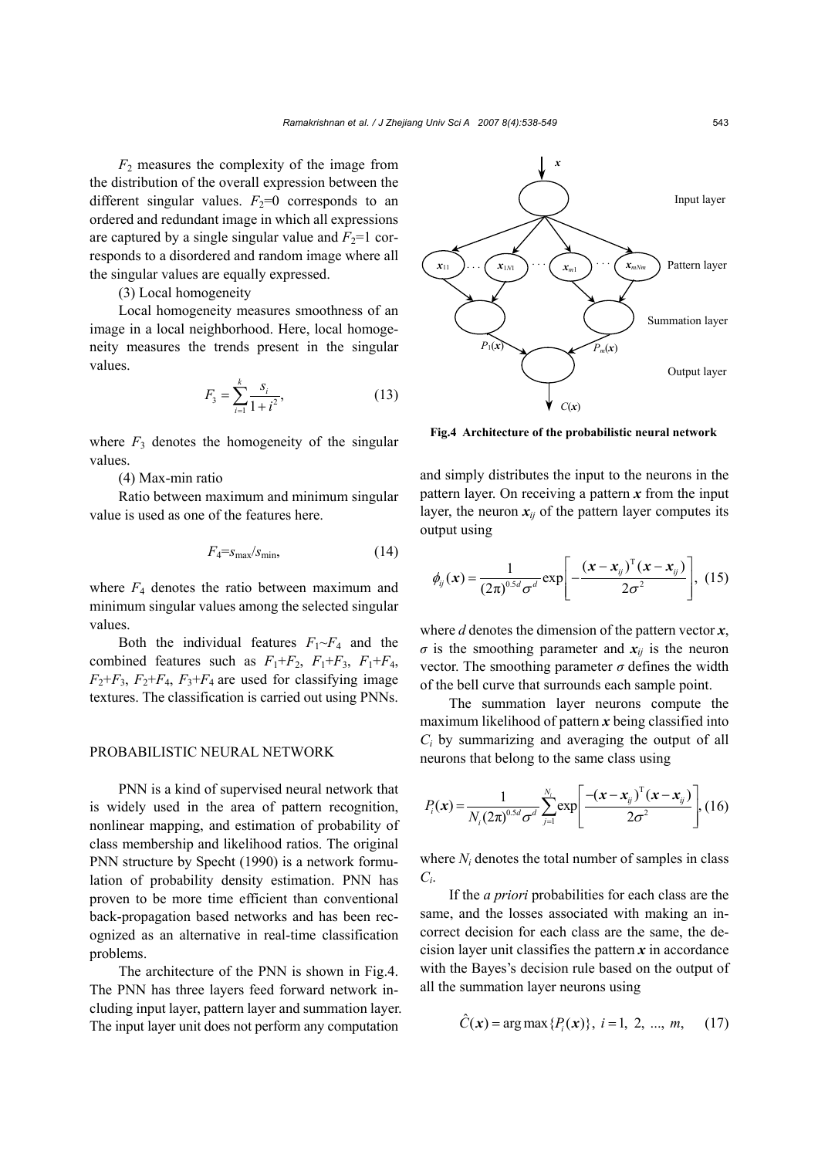*F*2 measures the complexity of the image from the distribution of the overall expression between the different singular values.  $F_2=0$  corresponds to an ordered and redundant image in which all expressions are captured by a single singular value and  $F_2=1$  corresponds to a disordered and random image where all the singular values are equally expressed.

## (3) Local homogeneity

Local homogeneity measures smoothness of an image in a local neighborhood. Here, local homogeneity measures the trends present in the singular values.

$$
F_3 = \sum_{i=1}^k \frac{s_i}{1 + i^2},\tag{13}
$$

where  $F_3$  denotes the homogeneity of the singular values.

(4) Max-min ratio

Ratio between maximum and minimum singular value is used as one of the features here.

$$
F_4 = s_{\text{max}}/s_{\text{min}},\tag{14}
$$

where  $F_4$  denotes the ratio between maximum and minimum singular values among the selected singular values.

Both the individual features  $F_1 \sim F_4$  and the combined features such as  $F_1 + F_2$ ,  $F_1 + F_3$ ,  $F_1 + F_4$ ,  $F_2 + F_3$ ,  $F_2 + F_4$ ,  $F_3 + F_4$  are used for classifying image textures. The classification is carried out using PNNs.

#### PROBABILISTIC NEURAL NETWORK

PNN is a kind of supervised neural network that is widely used in the area of pattern recognition, nonlinear mapping, and estimation of probability of class membership and likelihood ratios. The original PNN structure by Specht (1990) is a network formulation of probability density estimation. PNN has proven to be more time efficient than conventional back-propagation based networks and has been recognized as an alternative in real-time classification problems.

The architecture of the PNN is shown in Fig.4. The PNN has three layers feed forward network including input layer, pattern layer and summation layer. The input layer unit does not perform any computation



**Fig.4 Architecture of the probabilistic neural network**

and simply distributes the input to the neurons in the pattern layer. On receiving a pattern *x* from the input layer, the neuron  $x_{ij}$  of the pattern layer computes its output using

$$
\phi_{ij}(\mathbf{x}) = \frac{1}{(2\pi)^{0.5d} \sigma^d} \exp\left[-\frac{(\mathbf{x} - \mathbf{x}_{ij})^{\mathrm{T}}(\mathbf{x} - \mathbf{x}_{ij})}{2\sigma^2}\right], \quad (15)
$$

where *d* denotes the dimension of the pattern vector *x*,  $\sigma$  is the smoothing parameter and  $x_{ij}$  is the neuron vector. The smoothing parameter  $\sigma$  defines the width of the bell curve that surrounds each sample point.

The summation layer neurons compute the maximum likelihood of pattern *x* being classified into *Ci* by summarizing and averaging the output of all neurons that belong to the same class using

$$
P_i(\mathbf{x}) = \frac{1}{N_i (2\pi)^{0.5d} \sigma^d} \sum_{j=1}^{N_i} \exp \left[ \frac{-(\mathbf{x} - \mathbf{x}_{ij})^{\mathrm{T}} (\mathbf{x} - \mathbf{x}_{ij})}{2\sigma^2} \right], \text{(16)}
$$

where *N<sub>i</sub>* denotes the total number of samples in class *Ci*.

If the *a priori* probabilities for each class are the same, and the losses associated with making an incorrect decision for each class are the same, the decision layer unit classifies the pattern  $\boldsymbol{x}$  in accordance with the Bayes's decision rule based on the output of all the summation layer neurons using

$$
\hat{C}(\mathbf{x}) = \arg \max \{P_i(\mathbf{x})\}, i = 1, 2, ..., m,
$$
 (17)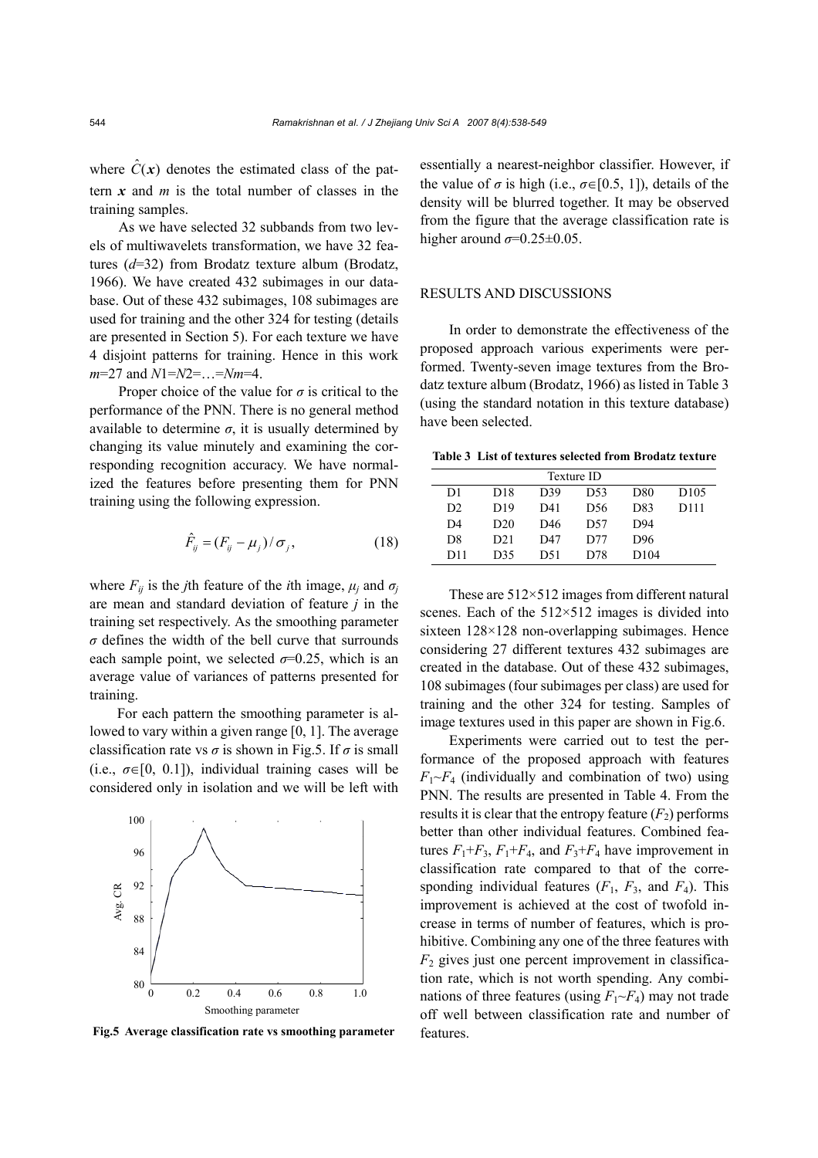where  $\hat{C}(x)$  denotes the estimated class of the pattern *x* and *m* is the total number of classes in the training samples.

As we have selected 32 subbands from two levels of multiwavelets transformation, we have 32 features (*d*=32) from Brodatz texture album (Brodatz, 1966). We have created 432 subimages in our database. Out of these 432 subimages, 108 subimages are used for training and the other 324 for testing (details are presented in Section 5). For each texture we have 4 disjoint patterns for training. Hence in this work *m*=27 and *N*1=*N*2=…=*Nm*=4.

Proper choice of the value for  $\sigma$  is critical to the performance of the PNN. There is no general method available to determine  $\sigma$ , it is usually determined by changing its value minutely and examining the corresponding recognition accuracy. We have normalized the features before presenting them for PNN training using the following expression.

$$
\hat{F}_{ij} = (F_{ij} - \mu_j) / \sigma_j, \qquad (18)
$$

where  $F_{ij}$  is the *j*th feature of the *i*th image,  $\mu_i$  and  $\sigma_j$ are mean and standard deviation of feature *j* in the training set respectively. As the smoothing parameter  $\sigma$  defines the width of the bell curve that surrounds each sample point, we selected  $\sigma$ =0.25, which is an average value of variances of patterns presented for training.

For each pattern the smoothing parameter is allowed to vary within a given range [0, 1]. The average classification rate vs  $\sigma$  is shown in Fig.5. If  $\sigma$  is small (i.e.,  $\sigma \in [0, 0.1]$ ), individual training cases will be considered only in isolation and we will be left with



**Fig.5 Average classification rate vs smoothing parameter** features.

essentially a nearest-neighbor classifier. However, if the value of  $\sigma$  is high (i.e.,  $\sigma \in [0.5, 1]$ ), details of the density will be blurred together. It may be observed from the figure that the average classification rate is higher around  $\sigma$ =0.25±0.05.

## RESULTS AND DISCUSSIONS

In order to demonstrate the effectiveness of the proposed approach various experiments were performed. Twenty-seven image textures from the Brodatz texture album (Brodatz, 1966) as listed in Table 3 (using the standard notation in this texture database) have been selected.

**Table 3 List of textures selected from Brodatz texture** 

|                |                 |     | Texture ID      |      |                  |
|----------------|-----------------|-----|-----------------|------|------------------|
| D1             | D <sub>18</sub> | D39 | D <sub>53</sub> | D80  | D <sub>105</sub> |
| D2             | D <sub>19</sub> | D41 | D56             | D83  | D111             |
| D <sub>4</sub> | D <sub>20</sub> | D46 | D57             | D94  |                  |
| D <sub>8</sub> | D <sub>21</sub> | D47 | D77             | D96  |                  |
| D11            | D35             | D51 | D78             | D104 |                  |

These are 512×512 images from different natural scenes. Each of the 512×512 images is divided into sixteen 128×128 non-overlapping subimages. Hence considering 27 different textures 432 subimages are created in the database. Out of these 432 subimages, 108 subimages (four subimages per class) are used for training and the other 324 for testing. Samples of image textures used in this paper are shown in Fig.6.

Experiments were carried out to test the performance of the proposed approach with features  $F_1 \sim F_4$  (individually and combination of two) using PNN. The results are presented in Table 4. From the results it is clear that the entropy feature  $(F_2)$  performs better than other individual features. Combined features  $F_1 + F_3$ ,  $F_1 + F_4$ , and  $F_3 + F_4$  have improvement in classification rate compared to that of the corresponding individual features  $(F_1, F_3,$  and  $F_4)$ . This improvement is achieved at the cost of twofold increase in terms of number of features, which is prohibitive. Combining any one of the three features with  $F<sub>2</sub>$  gives just one percent improvement in classification rate, which is not worth spending. Any combinations of three features (using  $F_1 \sim F_4$ ) may not trade off well between classification rate and number of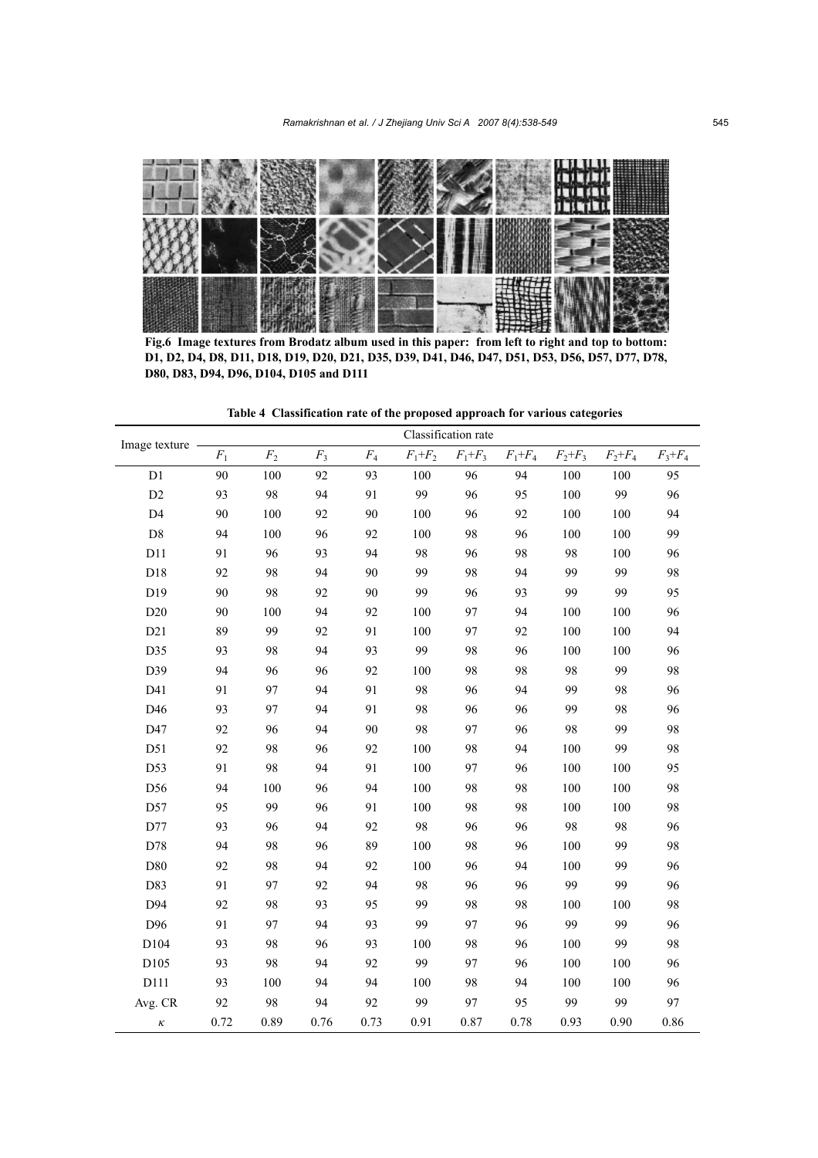

**Fig.6 Image textures from Brodatz album used in this paper: from left to right and top to bottom: D1, D2, D4, D8, D11, D18, D19, D20, D21, D35, D39, D41, D46, D47, D51, D53, D56, D57, D77, D78, D80, D83, D94, D96, D104, D105 and D111**

**Table 4 Classification rate of the proposed approach for various categories**

| Image texture  | Classification rate |                |                |       |             |             |             |             |             |             |
|----------------|---------------------|----------------|----------------|-------|-------------|-------------|-------------|-------------|-------------|-------------|
|                | $\mathcal{F}_1$     | F <sub>2</sub> | $\mathbb{F}_3$ | $F_4$ | $F_1 + F_2$ | $F_1 + F_3$ | $F_1 + F_4$ | $F_2 + F_3$ | $F_2 + F_4$ | $F_3 + F_4$ |
| D1             | 90                  | 100            | 92             | 93    | 100         | 96          | 94          | 100         | 100         | 95          |
| D <sub>2</sub> | 93                  | 98             | 94             | 91    | 99          | 96          | 95          | 100         | 99          | 96          |
| D <sub>4</sub> | 90                  | 100            | 92             | 90    | 100         | 96          | 92          | 100         | 100         | 94          |
| D <sub>8</sub> | 94                  | 100            | 96             | 92    | 100         | 98          | 96          | 100         | 100         | 99          |
| D11            | 91                  | 96             | 93             | 94    | 98          | 96          | 98          | 98          | 100         | 96          |
| D18            | 92                  | 98             | 94             | 90    | 99          | 98          | 94          | 99          | 99          | 98          |
| D19            | 90                  | 98             | 92             | 90    | 99          | 96          | 93          | 99          | 99          | 95          |
| D20            | 90                  | 100            | 94             | 92    | 100         | 97          | 94          | 100         | 100         | 96          |
| D21            | 89                  | 99             | 92             | 91    | 100         | 97          | 92          | 100         | 100         | 94          |
| D35            | 93                  | 98             | 94             | 93    | 99          | 98          | 96          | 100         | 100         | 96          |
| D39            | 94                  | 96             | 96             | 92    | 100         | 98          | 98          | 98          | 99          | 98          |
| D41            | 91                  | 97             | 94             | 91    | 98          | 96          | 94          | 99          | 98          | 96          |
| D46            | 93                  | 97             | 94             | 91    | 98          | 96          | 96          | 99          | 98          | 96          |
| D47            | 92                  | 96             | 94             | 90    | 98          | 97          | 96          | 98          | 99          | 98          |
| D51            | 92                  | 98             | 96             | 92    | 100         | 98          | 94          | 100         | 99          | 98          |
| D53            | 91                  | 98             | 94             | 91    | 100         | 97          | 96          | 100         | 100         | 95          |
| D56            | 94                  | 100            | 96             | 94    | 100         | 98          | 98          | 100         | 100         | 98          |
| D57            | 95                  | 99             | 96             | 91    | 100         | 98          | 98          | 100         | 100         | 98          |
| D77            | 93                  | 96             | 94             | 92    | 98          | 96          | 96          | 98          | 98          | 96          |
| D78            | 94                  | 98             | 96             | 89    | 100         | 98          | 96          | 100         | 99          | 98          |
| D80            | 92                  | 98             | 94             | 92    | 100         | 96          | 94          | 100         | 99          | 96          |
| D83            | 91                  | 97             | 92             | 94    | 98          | 96          | 96          | 99          | 99          | 96          |
| D94            | 92                  | 98             | 93             | 95    | 99          | 98          | 98          | 100         | 100         | 98          |
| D96            | 91                  | 97             | 94             | 93    | 99          | 97          | 96          | 99          | 99          | 96          |
| D104           | 93                  | 98             | 96             | 93    | 100         | 98          | 96          | 100         | 99          | 98          |
| D105           | 93                  | 98             | 94             | 92    | 99          | 97          | 96          | 100         | 100         | 96          |
| D111           | 93                  | 100            | 94             | 94    | 100         | 98          | 94          | 100         | 100         | 96          |
| Avg. CR        | 92                  | 98             | 94             | 92    | 99          | 97          | 95          | 99          | 99          | 97          |
| к              | 0.72                | 0.89           | 0.76           | 0.73  | 0.91        | 0.87        | 0.78        | 0.93        | 0.90        | 0.86        |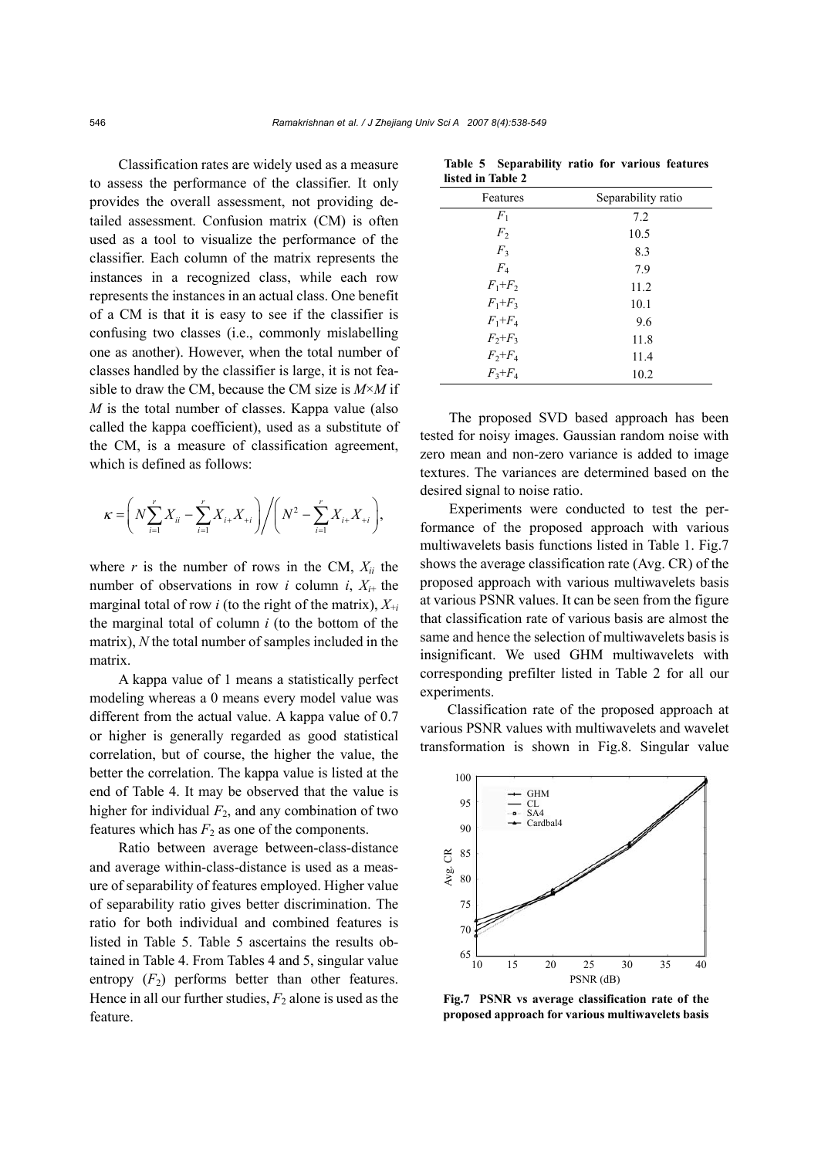Classification rates are widely used as a measure to assess the performance of the classifier. It only provides the overall assessment, not providing detailed assessment. Confusion matrix (CM) is often used as a tool to visualize the performance of the classifier. Each column of the matrix represents the instances in a recognized class, while each row represents the instances in an actual class. One benefit of a CM is that it is easy to see if the classifier is confusing two classes (i.e., commonly mislabelling one as another). However, when the total number of classes handled by the classifier is large, it is not feasible to draw the CM, because the CM size is *M*×*M* if *M* is the total number of classes. Kappa value (also called the kappa coefficient), used as a substitute of the CM, is a measure of classification agreement, which is defined as follows:

$$
\kappa = \left( N \sum_{i=1}^r X_{ii} - \sum_{i=1}^r X_{i+} X_{+i} \right) / \left( N^2 - \sum_{i=1}^r X_{i+} X_{+i} \right),
$$

where  $r$  is the number of rows in the CM,  $X_{ii}$  the number of observations in row *i* column *i*,  $X_{i+}$  the marginal total of row *i* (to the right of the matrix), *X*+*<sup>i</sup>* the marginal total of column *i* (to the bottom of the matrix), *N* the total number of samples included in the matrix.

A kappa value of 1 means a statistically perfect modeling whereas a 0 means every model value was different from the actual value. A kappa value of 0.7 or higher is generally regarded as good statistical correlation, but of course, the higher the value, the better the correlation. The kappa value is listed at the end of Table 4. It may be observed that the value is higher for individual  $F_2$ , and any combination of two features which has  $F_2$  as one of the components.

Ratio between average between-class-distance and average within-class-distance is used as a measure of separability of features employed. Higher value of separability ratio gives better discrimination. The ratio for both individual and combined features is listed in Table 5. Table 5 ascertains the results obtained in Table 4. From Tables 4 and 5, singular value entropy  $(F_2)$  performs better than other features. Hence in all our further studies,  $F_2$  alone is used as the feature.

| listed in Table 2 |                    |
|-------------------|--------------------|
| Features          | Separability ratio |
| $F_1$             | 7.2                |
| F <sub>2</sub>    | 10.5               |
| F <sub>3</sub>    | 8.3                |
| $F_{4}$           | 7.9                |
| $F_1 + F_2$       | 11.2               |
| $F_1 + F_3$       | 10.1               |
| $F_1 + F_4$       | 9.6                |
| $F_2 + F_3$       | 11.8               |
| $F_2 + F_4$       | 11.4               |
| $F_3 + F_4$       | 10.2               |

**Table 5 Separability ratio for various features listed in Table 2**

The proposed SVD based approach has been tested for noisy images. Gaussian random noise with zero mean and non-zero variance is added to image textures. The variances are determined based on the desired signal to noise ratio.

Experiments were conducted to test the performance of the proposed approach with various multiwavelets basis functions listed in Table 1. Fig.7 shows the average classification rate (Avg. CR) of the proposed approach with various multiwavelets basis at various PSNR values. It can be seen from the figure that classification rate of various basis are almost the same and hence the selection of multiwavelets basis is insignificant. We used GHM multiwavelets with corresponding prefilter listed in Table 2 for all our experiments.

Classification rate of the proposed approach at various PSNR values with multiwavelets and wavelet transformation is shown in Fig.8. Singular value



**Fig.7 PSNR vs average classification rate of the proposed approach for various multiwavelets basis**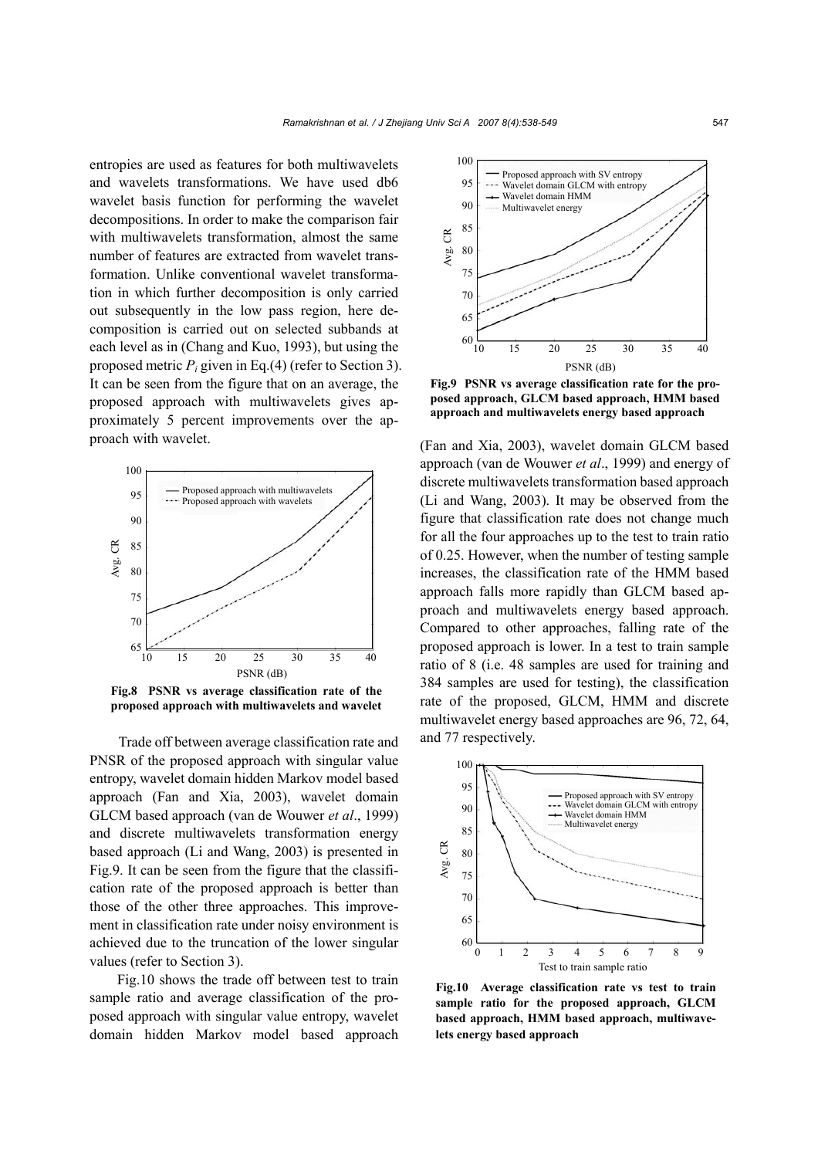entropies are used as features for both multiwavelets and wavelets transformations. We have used db6 wavelet basis function for performing the wavelet decompositions. In order to make the comparison fair with multiwavelets transformation, almost the same number of features are extracted from wavelet transformation. Unlike conventional wavelet transformation in which further decomposition is only carried out subsequently in the low pass region, here decomposition is carried out on selected subbands at each level as in (Chang and Kuo, 1993), but using the proposed metric *Pi* given in Eq.(4) (refer to Section 3). It can be seen from the figure that on an average, the proposed approach with multiwavelets gives approximately 5 percent improvements over the approach with wavelet.



**Fig.8 PSNR vs average classification rate of the proposed approach with multiwavelets and wavelet**

Trade off between average classification rate and PNSR of the proposed approach with singular value entropy, wavelet domain hidden Markov model based approach (Fan and Xia, 2003), wavelet domain GLCM based approach (van de Wouwer *et al*., 1999) and discrete multiwavelets transformation energy based approach (Li and Wang, 2003) is presented in Fig.9. It can be seen from the figure that the classification rate of the proposed approach is better than those of the other three approaches. This improvement in classification rate under noisy environment is achieved due to the truncation of the lower singular values (refer to Section 3).

Fig.10 shows the trade off between test to train sample ratio and average classification of the proposed approach with singular value entropy, wavelet domain hidden Markov model based approach



**Fig.9 PSNR vs average classification rate for the proposed approach, GLCM based approach, HMM based approach and multiwavelets energy based approach**

(Fan and Xia, 2003), wavelet domain GLCM based approach (van de Wouwer *et al*., 1999) and energy of discrete multiwavelets transformation based approach (Li and Wang, 2003). It may be observed from the figure that classification rate does not change much for all the four approaches up to the test to train ratio of 0.25. However, when the number of testing sample increases, the classification rate of the HMM based approach falls more rapidly than GLCM based approach and multiwavelets energy based approach. Compared to other approaches, falling rate of the proposed approach is lower. In a test to train sample ratio of 8 (i.e. 48 samples are used for training and 384 samples are used for testing), the classification rate of the proposed, GLCM, HMM and discrete multiwavelet energy based approaches are 96, 72, 64, and 77 respectively.



**Fig.10 Average classification rate vs test to train sample ratio for the proposed approach, GLCM based approach, HMM based approach, multiwavelets energy based approach**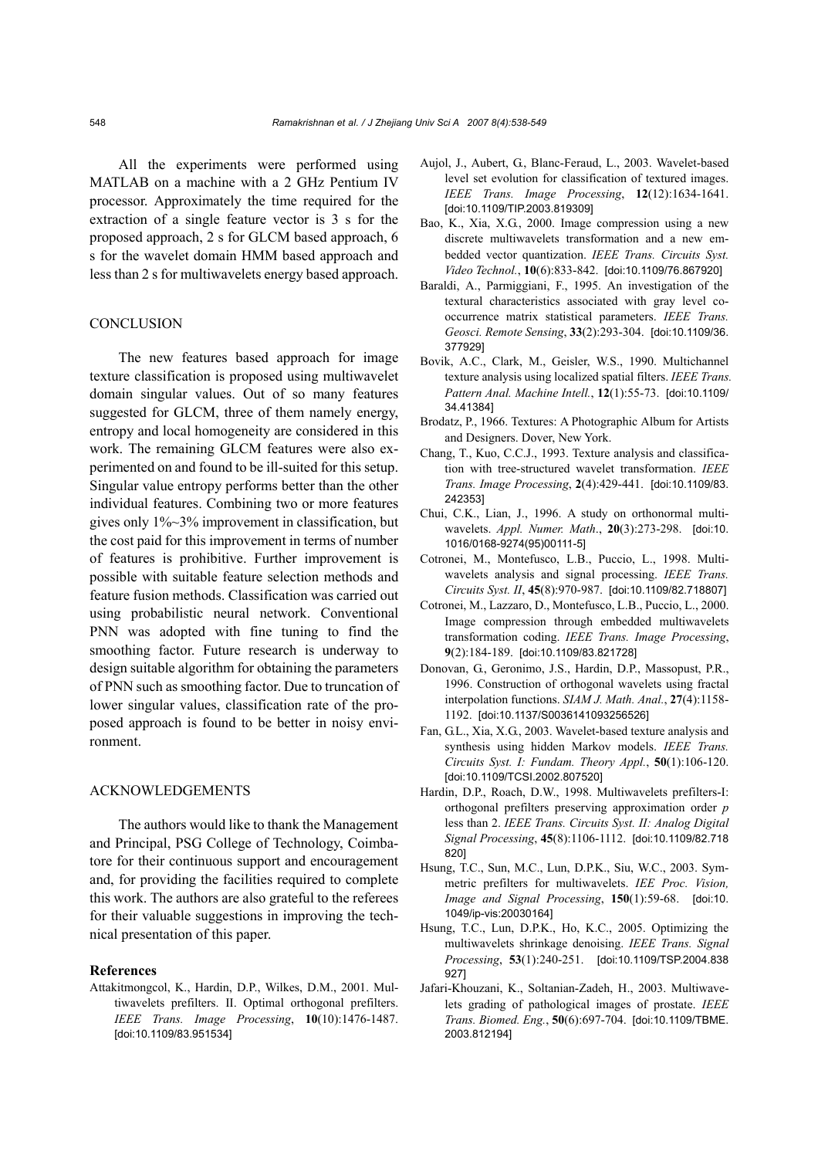All the experiments were performed using MATLAB on a machine with a 2 GHz Pentium IV processor. Approximately the time required for the extraction of a single feature vector is 3 s for the proposed approach, 2 s for GLCM based approach, 6 s for the wavelet domain HMM based approach and less than 2 s for multiwavelets energy based approach.

## **CONCLUSION**

The new features based approach for image texture classification is proposed using multiwavelet domain singular values. Out of so many features suggested for GLCM, three of them namely energy, entropy and local homogeneity are considered in this work. The remaining GLCM features were also experimented on and found to be ill-suited for this setup. Singular value entropy performs better than the other individual features. Combining two or more features gives only 1%~3% improvement in classification, but the cost paid for this improvement in terms of number of features is prohibitive. Further improvement is possible with suitable feature selection methods and feature fusion methods. Classification was carried out using probabilistic neural network. Conventional PNN was adopted with fine tuning to find the smoothing factor. Future research is underway to design suitable algorithm for obtaining the parameters of PNN such as smoothing factor. Due to truncation of lower singular values, classification rate of the proposed approach is found to be better in noisy environment.

#### ACKNOWLEDGEMENTS

The authors would like to thank the Management and Principal, PSG College of Technology, Coimbatore for their continuous support and encouragement and, for providing the facilities required to complete this work. The authors are also grateful to the referees for their valuable suggestions in improving the technical presentation of this paper.

#### **References**

Attakitmongcol, K., Hardin, D.P., Wilkes, D.M., 2001. Multiwavelets prefilters. II. Optimal orthogonal prefilters. *IEEE Trans. Image Processing*, **10**(10):1476-1487. [doi:10.1109/83.951534]

- Aujol, J., Aubert, G., Blanc-Feraud, L., 2003. Wavelet-based level set evolution for classification of textured images. *IEEE Trans. Image Processing*, **12**(12):1634-1641. [doi:10.1109/TIP.2003.819309]
- Bao, K., Xia, X.G., 2000. Image compression using a new discrete multiwavelets transformation and a new embedded vector quantization. *IEEE Trans. Circuits Syst. Video Technol.*, **10**(6):833-842. [doi:10.1109/76.867920]
- Baraldi, A., Parmiggiani, F., 1995. An investigation of the textural characteristics associated with gray level cooccurrence matrix statistical parameters. *IEEE Trans. Geosci. Remote Sensing*, **33**(2):293-304. [doi:10.1109/36. 377929]
- Bovik, A.C., Clark, M., Geisler, W.S., 1990. Multichannel texture analysis using localized spatial filters. *IEEE Trans. Pattern Anal. Machine Intell.*, **12**(1):55-73. [doi:10.1109/ 34.41384]
- Brodatz, P., 1966. Textures: A Photographic Album for Artists and Designers. Dover, New York.
- Chang, T., Kuo, C.C.J., 1993. Texture analysis and classification with tree-structured wavelet transformation. *IEEE Trans. Image Processing*, **2**(4):429-441. [doi:10.1109/83. 242353]
- Chui, C.K., Lian, J., 1996. A study on orthonormal multiwavelets. *Appl. Numer. Math*., **20**(3):273-298. [doi:10. 1016/0168-9274(95)00111-5]
- Cotronei, M., Montefusco, L.B., Puccio, L., 1998. Multiwavelets analysis and signal processing. *IEEE Trans. Circuits Syst. II*, **45**(8):970-987. [doi:10.1109/82.718807]
- Cotronei, M., Lazzaro, D., Montefusco, L.B., Puccio, L., 2000. Image compression through embedded multiwavelets transformation coding. *IEEE Trans. Image Processing*, **9**(2):184-189. [doi:10.1109/83.821728]
- Donovan, G., Geronimo, J.S., Hardin, D.P., Massopust, P.R., 1996. Construction of orthogonal wavelets using fractal interpolation functions. *SIAM J. Math. Anal.*, **27**(4):1158- 1192. [doi:10.1137/S0036141093256526]
- Fan, G.L., Xia, X.G., 2003. Wavelet-based texture analysis and synthesis using hidden Markov models. *IEEE Trans. Circuits Syst. I: Fundam. Theory Appl.*, **50**(1):106-120. [doi:10.1109/TCSI.2002.807520]
- Hardin, D.P., Roach, D.W., 1998. Multiwavelets prefilters-I: orthogonal prefilters preserving approximation order *p* less than 2. *IEEE Trans. Circuits Syst. II: Analog Digital Signal Processing*, **45**(8):1106-1112. [doi:10.1109/82.718 820]
- Hsung, T.C., Sun, M.C., Lun, D.P.K., Siu, W.C., 2003. Symmetric prefilters for multiwavelets. *IEE Proc. Vision, Image and Signal Processing*, **150**(1):59-68. [doi:10. 1049/ip-vis:20030164]
- Hsung, T.C., Lun, D.P.K., Ho, K.C., 2005. Optimizing the multiwavelets shrinkage denoising. *IEEE Trans. Signal Processing*, **53**(1):240-251. [doi:10.1109/TSP.2004.838 927]
- Jafari-Khouzani, K., Soltanian-Zadeh, H., 2003. Multiwavelets grading of pathological images of prostate. *IEEE Trans. Biomed. Eng.*, **50**(6):697-704. [doi:10.1109/TBME. 2003.812194]